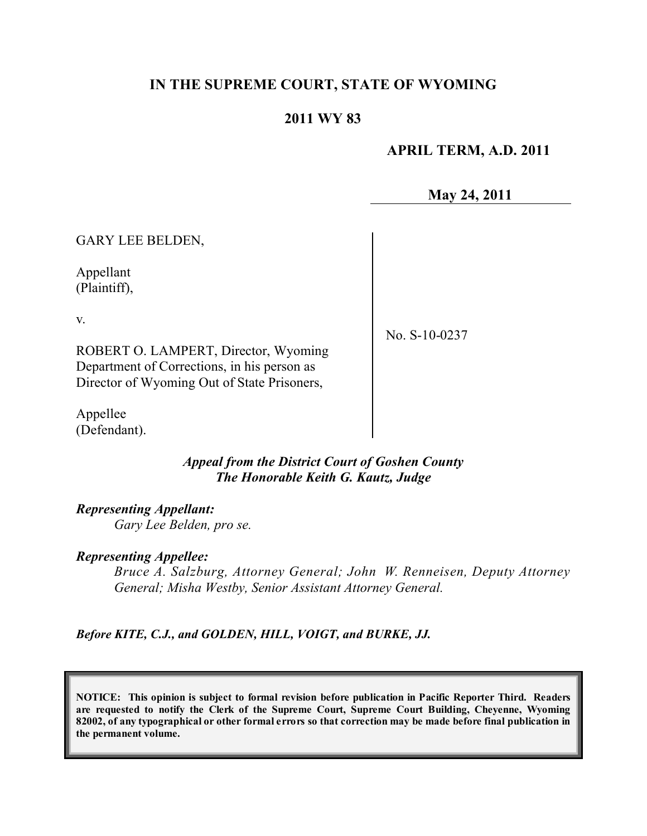# **IN THE SUPREME COURT, STATE OF WYOMING**

# **2011 WY 83**

# **APRIL TERM, A.D. 2011**

**May 24, 2011**

GARY LEE BELDEN,

Appellant (Plaintiff),

v.

No. S-10-0237

ROBERT O. LAMPERT, Director, Wyoming Department of Corrections, in his person as Director of Wyoming Out of State Prisoners,

Appellee (Defendant).

> *Appeal from the District Court of Goshen County The Honorable Keith G. Kautz, Judge*

*Representing Appellant: Gary Lee Belden, pro se.*

### *Representing Appellee:*

*Bruce A. Salzburg, Attorney General; John W. Renneisen, Deputy Attorney General; Misha Westby, Senior Assistant Attorney General.*

*Before KITE, C.J., and GOLDEN, HILL, VOIGT, and BURKE, JJ.*

**NOTICE: This opinion is subject to formal revision before publication in Pacific Reporter Third. Readers are requested to notify the Clerk of the Supreme Court, Supreme Court Building, Cheyenne, Wyoming** 82002, of any typographical or other formal errors so that correction may be made before final publication in **the permanent volume.**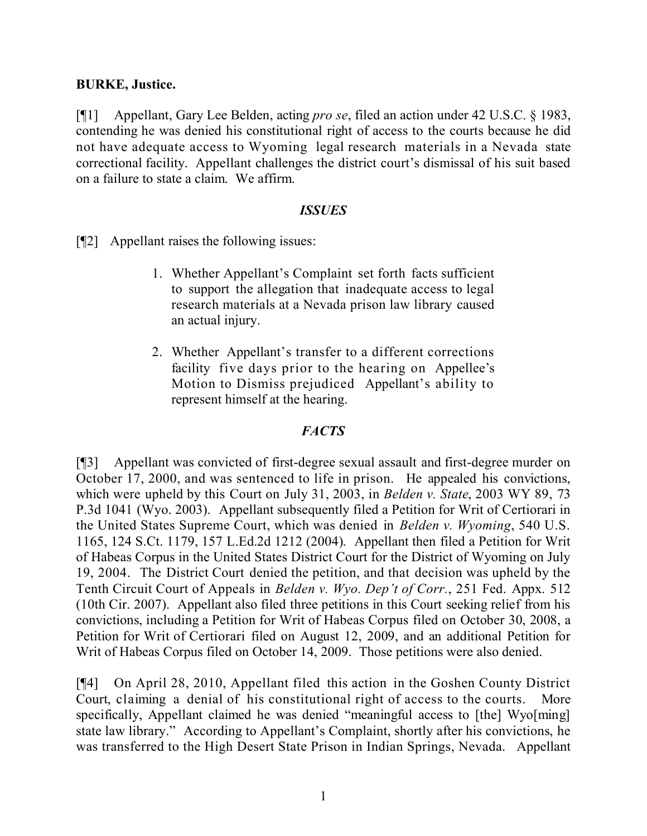### **BURKE, Justice.**

[¶1] Appellant, Gary Lee Belden, acting *pro se*, filed an action under 42 U.S.C. § 1983, contending he was denied his constitutional right of access to the courts because he did not have adequate access to Wyoming legal research materials in a Nevada state correctional facility. Appellant challenges the district court's dismissal of his suit based on a failure to state a claim. We affirm.

### *ISSUES*

[¶2] Appellant raises the following issues:

- 1. Whether Appellant's Complaint set forth facts sufficient to support the allegation that inadequate access to legal research materials at a Nevada prison law library caused an actual injury.
- 2. Whether Appellant's transfer to a different corrections facility five days prior to the hearing on Appellee's Motion to Dismiss prejudiced Appellant's ability to represent himself at the hearing.

# *FACTS*

[¶3] Appellant was convicted of first-degree sexual assault and first-degree murder on October 17, 2000, and was sentenced to life in prison. He appealed his convictions, which were upheld by this Court on July 31, 2003, in *Belden v. State*, 2003 WY 89, 73 P.3d 1041 (Wyo. 2003). Appellant subsequently filed a Petition for Writ of Certiorari in the United States Supreme Court, which was denied in *Belden v. Wyoming*, 540 U.S. 1165, 124 S.Ct. 1179, 157 L.Ed.2d 1212 (2004). Appellant then filed a Petition for Writ of Habeas Corpus in the United States District Court for the District of Wyoming on July 19, 2004. The District Court denied the petition, and that decision was upheld by the Tenth Circuit Court of Appeals in *Belden v. Wyo. Dep't of Corr.*, 251 Fed. Appx. 512 (10th Cir. 2007). Appellant also filed three petitions in this Court seeking relief from his convictions, including a Petition for Writ of Habeas Corpus filed on October 30, 2008, a Petition for Writ of Certiorari filed on August 12, 2009, and an additional Petition for Writ of Habeas Corpus filed on October 14, 2009. Those petitions were also denied.

[¶4] On April 28, 2010, Appellant filed this action in the Goshen County District Court, claiming a denial of his constitutional right of access to the courts. More specifically, Appellant claimed he was denied "meaningful access to [the] Wyo[ming] state law library." According to Appellant's Complaint, shortly after his convictions, he was transferred to the High Desert State Prison in Indian Springs, Nevada. Appellant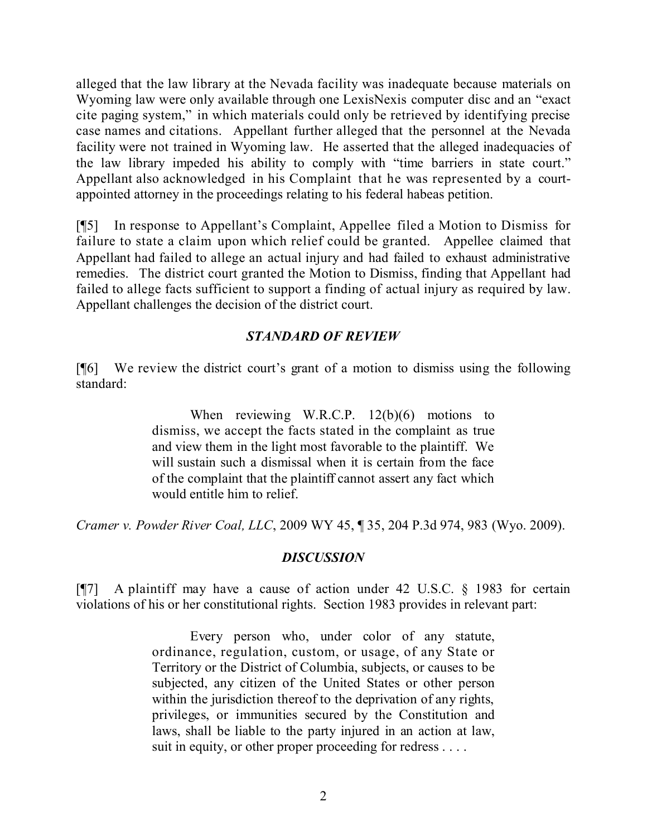alleged that the law library at the Nevada facility was inadequate because materials on Wyoming law were only available through one LexisNexis computer disc and an "exact cite paging system," in which materials could only be retrieved by identifying precise case names and citations. Appellant further alleged that the personnel at the Nevada facility were not trained in Wyoming law. He asserted that the alleged inadequacies of the law library impeded his ability to comply with "time barriers in state court." Appellant also acknowledged in his Complaint that he was represented by a courtappointed attorney in the proceedings relating to his federal habeas petition.

[¶5] In response to Appellant's Complaint, Appellee filed a Motion to Dismiss for failure to state a claim upon which relief could be granted. Appellee claimed that Appellant had failed to allege an actual injury and had failed to exhaust administrative remedies. The district court granted the Motion to Dismiss, finding that Appellant had failed to allege facts sufficient to support a finding of actual injury as required by law. Appellant challenges the decision of the district court.

# *STANDARD OF REVIEW*

[¶6] We review the district court's grant of a motion to dismiss using the following standard:

> When reviewing W.R.C.P. 12(b)(6) motions to dismiss, we accept the facts stated in the complaint as true and view them in the light most favorable to the plaintiff. We will sustain such a dismissal when it is certain from the face of the complaint that the plaintiff cannot assert any fact which would entitle him to relief.

*Cramer v. Powder River Coal, LLC*, 2009 WY 45, ¶ 35, 204 P.3d 974, 983 (Wyo. 2009).

# *DISCUSSION*

[¶7] A plaintiff may have a cause of action under 42 U.S.C. § 1983 for certain violations of his or her constitutional rights. Section 1983 provides in relevant part:

> Every person who, under color of any statute, ordinance, regulation, custom, or usage, of any State or Territory or the District of Columbia, subjects, or causes to be subjected, any citizen of the United States or other person within the jurisdiction thereof to the deprivation of any rights, privileges, or immunities secured by the Constitution and laws, shall be liable to the party injured in an action at law, suit in equity, or other proper proceeding for redress . . . .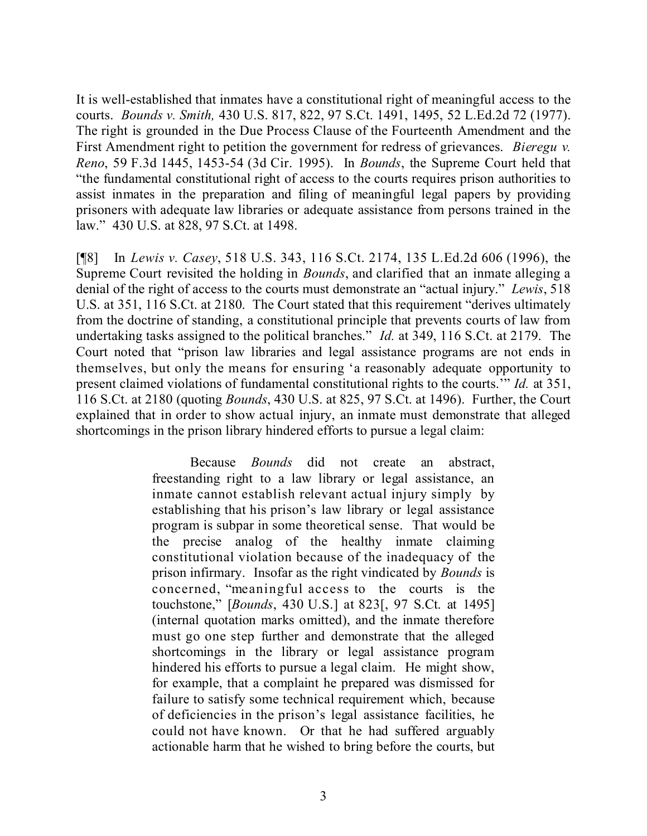It is well-established that inmates have a constitutional right of meaningful access to the courts. *Bounds v. Smith,* 430 U.S. 817, 822, 97 S.Ct. 1491, 1495, 52 L.Ed.2d 72 (1977). The right is grounded in the Due Process Clause of the Fourteenth Amendment and the First Amendment right to petition the government for redress of grievances. *Bieregu v. Reno*, 59 F.3d 1445, 1453-54 (3d Cir. 1995). In *Bounds*, the Supreme Court held that "the fundamental constitutional right of access to the courts requires prison authorities to assist inmates in the preparation and filing of meaningful legal papers by providing prisoners with adequate law libraries or adequate assistance from persons trained in the law." 430 U.S. at 828, 97 S.Ct. at 1498.

[¶8] In *Lewis v. Casey*, 518 U.S. 343, 116 S.Ct. 2174, 135 L.Ed.2d 606 (1996), the Supreme Court revisited the holding in *Bounds*, and clarified that an inmate alleging a denial of the right of access to the courts must demonstrate an "actual injury." *Lewis*, 518 U.S. at 351, 116 S.Ct. at 2180. The Court stated that this requirement "derives ultimately from the doctrine of standing, a constitutional principle that prevents courts of law from undertaking tasks assigned to the political branches." *Id.* at 349, 116 S.Ct. at 2179. The Court noted that "prison law libraries and legal assistance programs are not ends in themselves, but only the means for ensuring 'a reasonably adequate opportunity to present claimed violations of fundamental constitutional rights to the courts.'" *Id.* at 351, 116 S.Ct. at 2180 (quoting *Bounds*, 430 U.S. at 825, 97 S.Ct. at 1496). Further, the Court explained that in order to show actual injury, an inmate must demonstrate that alleged shortcomings in the prison library hindered efforts to pursue a legal claim:

> Because *Bounds* did not create an abstract, freestanding right to a law library or legal assistance, an inmate cannot establish relevant actual injury simply by establishing that his prison's law library or legal assistance program is subpar in some theoretical sense. That would be the precise analog of the healthy inmate claiming constitutional violation because of the inadequacy of the prison infirmary. Insofar as the right vindicated by *Bounds* is concerned, "meaningful access to the courts is the touchstone," [*Bounds*, 430 U.S.] at 823[, 97 S.Ct. at 1495] (internal quotation marks omitted), and the inmate therefore must go one step further and demonstrate that the alleged shortcomings in the library or legal assistance program hindered his efforts to pursue a legal claim. He might show, for example, that a complaint he prepared was dismissed for failure to satisfy some technical requirement which, because of deficiencies in the prison's legal assistance facilities, he could not have known. Or that he had suffered arguably actionable harm that he wished to bring before the courts, but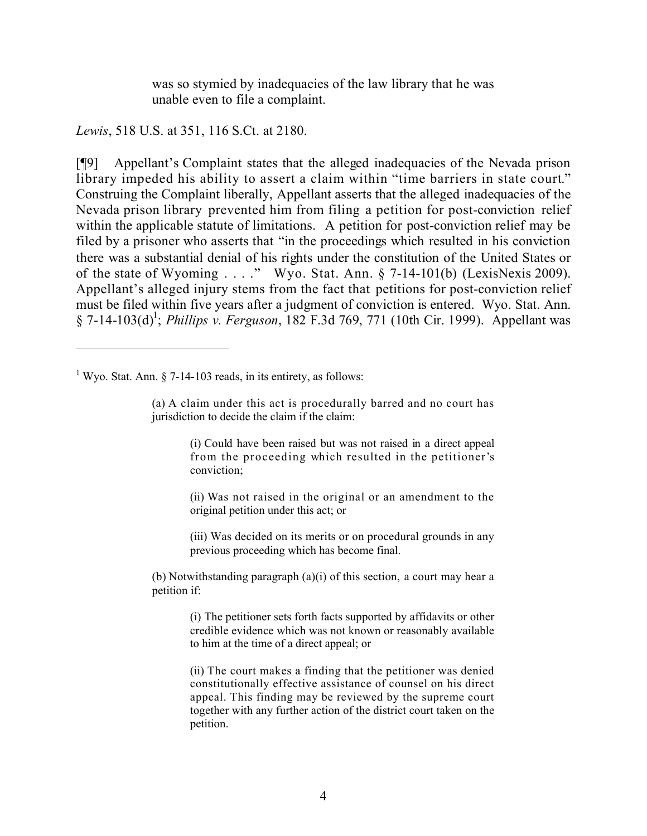was so stymied by inadequacies of the law library that he was unable even to file a complaint.

*Lewis*, 518 U.S. at 351, 116 S.Ct. at 2180.

[¶9] Appellant's Complaint states that the alleged inadequacies of the Nevada prison library impeded his ability to assert a claim within "time barriers in state court." Construing the Complaint liberally, Appellant asserts that the alleged inadequacies of the Nevada prison library prevented him from filing a petition for post-conviction relief within the applicable statute of limitations. A petition for post-conviction relief may be filed by a prisoner who asserts that "in the proceedings which resulted in his conviction there was a substantial denial of his rights under the constitution of the United States or of the state of Wyoming . . . ." Wyo. Stat. Ann. § 7-14-101(b) (LexisNexis 2009). Appellant's alleged injury stems from the fact that petitions for post-conviction relief must be filed within five years after a judgment of conviction is entered. Wyo. Stat. Ann. § 7-14-103(d)<sup>1</sup>; *Phillips v. Ferguson*, 182 F.3d 769, 771 (10th Cir. 1999). Appellant was

<sup>1</sup> Wyo. Stat. Ann. § 7-14-103 reads, in its entirety, as follows:

(a) A claim under this act is procedurally barred and no court has jurisdiction to decide the claim if the claim:

> (i) Could have been raised but was not raised in a direct appeal from the proceeding which resulted in the petitioner's conviction;

> (ii) Was not raised in the original or an amendment to the original petition under this act; or

> (iii) Was decided on its merits or on procedural grounds in any previous proceeding which has become final.

(b) Notwithstanding paragraph (a)(i) of this section, a court may hear a petition if:

> (i) The petitioner sets forth facts supported by affidavits or other credible evidence which was not known or reasonably available to him at the time of a direct appeal; or

> (ii) The court makes a finding that the petitioner was denied constitutionally effective assistance of counsel on his direct appeal. This finding may be reviewed by the supreme court together with any further action of the district court taken on the petition.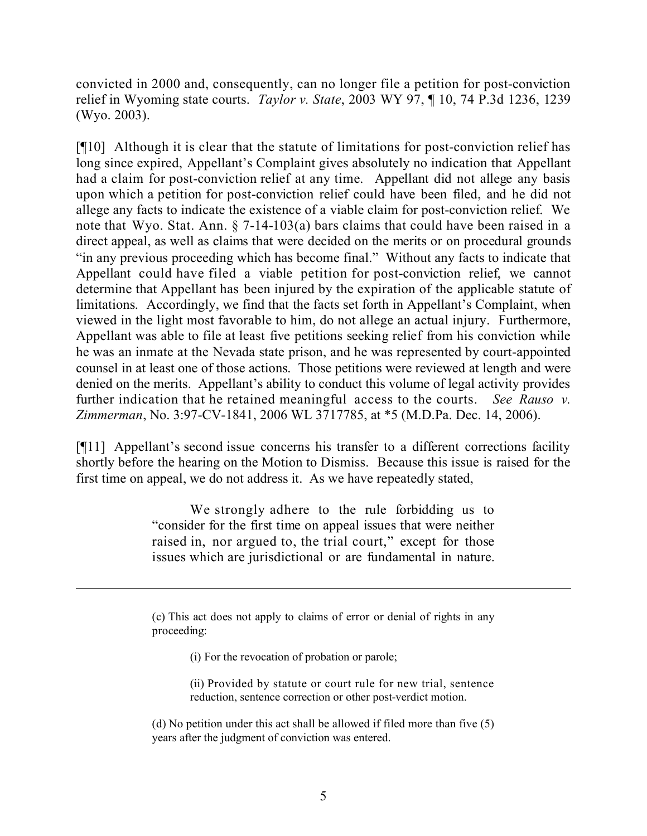convicted in 2000 and, consequently, can no longer file a petition for post-conviction relief in Wyoming state courts. *Taylor v. State*, 2003 WY 97, ¶ 10, 74 P.3d 1236, 1239 (Wyo. 2003).

[¶10] Although it is clear that the statute of limitations for post-conviction relief has long since expired, Appellant's Complaint gives absolutely no indication that Appellant had a claim for post-conviction relief at any time. Appellant did not allege any basis upon which a petition for post-conviction relief could have been filed, and he did not allege any facts to indicate the existence of a viable claim for post-conviction relief. We note that Wyo. Stat. Ann. § 7-14-103(a) bars claims that could have been raised in a direct appeal, as well as claims that were decided on the merits or on procedural grounds "in any previous proceeding which has become final." Without any facts to indicate that Appellant could have filed a viable petition for post-conviction relief, we cannot determine that Appellant has been injured by the expiration of the applicable statute of limitations. Accordingly, we find that the facts set forth in Appellant's Complaint, when viewed in the light most favorable to him, do not allege an actual injury. Furthermore, Appellant was able to file at least five petitions seeking relief from his conviction while he was an inmate at the Nevada state prison, and he was represented by court-appointed counsel in at least one of those actions. Those petitions were reviewed at length and were denied on the merits. Appellant's ability to conduct this volume of legal activity provides further indication that he retained meaningful access to the courts. *See Rauso v. Zimmerman*, No. 3:97-CV-1841, 2006 WL 3717785, at \*5 (M.D.Pa. Dec. 14, 2006).

[¶11] Appellant's second issue concerns his transfer to a different corrections facility shortly before the hearing on the Motion to Dismiss. Because this issue is raised for the first time on appeal, we do not address it. As we have repeatedly stated,

> We strongly adhere to the rule forbidding us to "consider for the first time on appeal issues that were neither raised in, nor argued to, the trial court," except for those issues which are jurisdictional or are fundamental in nature.

> (c) This act does not apply to claims of error or denial of rights in any proceeding:

> > (i) For the revocation of probation or parole;

(ii) Provided by statute or court rule for new trial, sentence reduction, sentence correction or other post-verdict motion.

l

(d) No petition under this act shall be allowed if filed more than five (5) years after the judgment of conviction was entered.